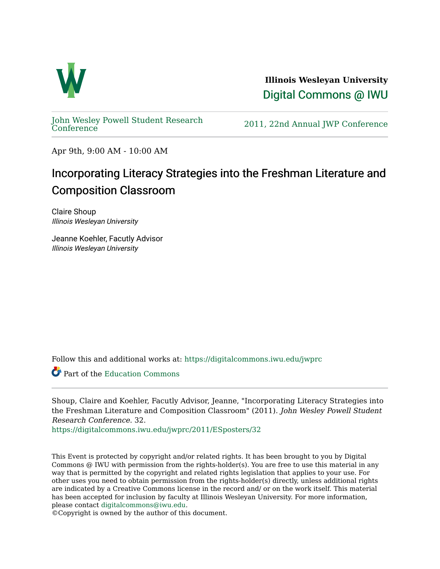

**Illinois Wesleyan University**  [Digital Commons @ IWU](https://digitalcommons.iwu.edu/) 

[John Wesley Powell Student Research](https://digitalcommons.iwu.edu/jwprc) 

2011, 22nd Annual JWP [Conference](https://digitalcommons.iwu.edu/jwprc)

Apr 9th, 9:00 AM - 10:00 AM

## Incorporating Literacy Strategies into the Freshman Literature and Composition Classroom

Claire Shoup Illinois Wesleyan University

Jeanne Koehler, Facutly Advisor Illinois Wesleyan University

Follow this and additional works at: [https://digitalcommons.iwu.edu/jwprc](https://digitalcommons.iwu.edu/jwprc?utm_source=digitalcommons.iwu.edu%2Fjwprc%2F2011%2FESposters%2F32&utm_medium=PDF&utm_campaign=PDFCoverPages) 

Part of the [Education Commons](http://network.bepress.com/hgg/discipline/784?utm_source=digitalcommons.iwu.edu%2Fjwprc%2F2011%2FESposters%2F32&utm_medium=PDF&utm_campaign=PDFCoverPages)

Shoup, Claire and Koehler, Facutly Advisor, Jeanne, "Incorporating Literacy Strategies into the Freshman Literature and Composition Classroom" (2011). John Wesley Powell Student Research Conference. 32.

[https://digitalcommons.iwu.edu/jwprc/2011/ESposters/32](https://digitalcommons.iwu.edu/jwprc/2011/ESposters/32?utm_source=digitalcommons.iwu.edu%2Fjwprc%2F2011%2FESposters%2F32&utm_medium=PDF&utm_campaign=PDFCoverPages) 

This Event is protected by copyright and/or related rights. It has been brought to you by Digital Commons @ IWU with permission from the rights-holder(s). You are free to use this material in any way that is permitted by the copyright and related rights legislation that applies to your use. For other uses you need to obtain permission from the rights-holder(s) directly, unless additional rights are indicated by a Creative Commons license in the record and/ or on the work itself. This material has been accepted for inclusion by faculty at Illinois Wesleyan University. For more information, please contact [digitalcommons@iwu.edu.](mailto:digitalcommons@iwu.edu)

©Copyright is owned by the author of this document.